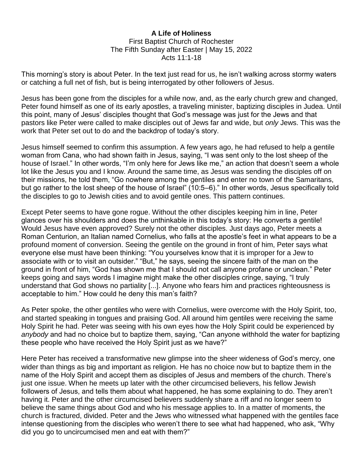## **A Life of Holiness** First Baptist Church of Rochester The Fifth Sunday after Easter | May 15, 2022 Acts 11:1-18

This morning's story is about Peter. In the text just read for us, he isn't walking across stormy waters or catching a full net of fish, but is being interrogated by other followers of Jesus.

Jesus has been gone from the disciples for a while now, and, as the early church grew and changed, Peter found himself as one of its early apostles, a traveling minister, baptizing disciples in Judea. Until this point, many of Jesus' disciples thought that God's message was just for the Jews and that pastors like Peter were called to make disciples out of Jews far and wide, but *only* Jews. This was the work that Peter set out to do and the backdrop of today's story.

Jesus himself seemed to confirm this assumption. A few years ago, he had refused to help a gentile woman from Cana, who had shown faith in Jesus, saying, "I was sent only to the lost sheep of the house of Israel." In other words, "I'm only here for Jews like me," an action that doesn't seem a whole lot like the Jesus you and I know. Around the same time, as Jesus was sending the disciples off on their missions, he told them, "Go nowhere among the gentiles and enter no town of the Samaritans, but go rather to the lost sheep of the house of Israel" (10:5–6)." In other words, Jesus specifically told the disciples to go to Jewish cities and to avoid gentile ones. This pattern continues.

Except Peter seems to have gone rogue. Without the other disciples keeping him in line, Peter glances over his shoulders and does the unthinkable in this today's story: He converts a gentile! Would Jesus have even approved? Surely not the other disciples. Just days ago, Peter meets a Roman Centurion, an Italian named Cornelius, who falls at the apostle's feet in what appears to be a profound moment of conversion. Seeing the gentile on the ground in front of him, Peter says what everyone else must have been thinking: "You yourselves know that it is improper for a Jew to associate with or to visit an outsider." "But," he says, seeing the sincere faith of the man on the ground in front of him, "God has shown me that I should not call anyone profane or unclean." Peter keeps going and says words I imagine might make the other disciples cringe, saying, "I truly understand that God shows no partiality [...]. Anyone who fears him and practices righteousness is acceptable to him." How could he deny this man's faith?

As Peter spoke, the other gentiles who were with Cornelius, were overcome with the Holy Spirit, too, and started speaking in tongues and praising God. All around him gentiles were receiving the same Holy Spirit he had. Peter was seeing with his own eyes how the Holy Spirit could be experienced by *anybody* and had no choice but to baptize them, saying, "Can anyone withhold the water for baptizing these people who have received the Holy Spirit just as we have?"

Here Peter has received a transformative new glimpse into the sheer wideness of God's mercy, one wider than things as big and important as religion. He has no choice now but to baptize them in the name of the Holy Spirit and accept them as disciples of Jesus and members of the church. There's just one issue. When he meets up later with the other circumcised believers, his fellow Jewish followers of Jesus, and tells them about what happened, he has some explaining to do. They aren't having it. Peter and the other circumcised believers suddenly share a riff and no longer seem to believe the same things about God and who his message applies to. In a matter of moments, the church is fractured, divided. Peter and the Jews who witnessed what happened with the gentiles face intense questioning from the disciples who weren't there to see what had happened, who ask, "Why did you go to uncircumcised men and eat with them?"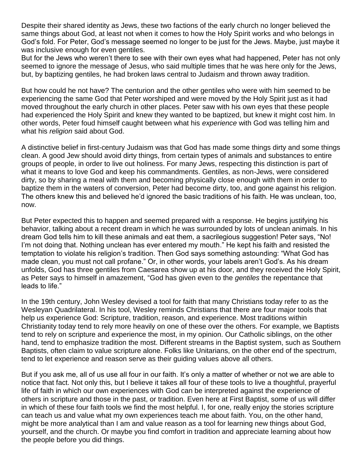Despite their shared identity as Jews, these two factions of the early church no longer believed the same things about God, at least not when it comes to how the Holy Spirit works and who belongs in God's fold. For Peter, God's message seemed no longer to be just for the Jews. Maybe, just maybe it was inclusive enough for even gentiles.

But for the Jews who weren't there to see with their own eyes what had happened, Peter has not only seemed to ignore the message of Jesus, who said multiple times that he was here only for the Jews, but, by baptizing gentiles, he had broken laws central to Judaism and thrown away tradition.

But how could he not have? The centurion and the other gentiles who were with him seemed to be experiencing the same God that Peter worshiped and were moved by the Holy Spirit just as it had moved throughout the early church in other places. Peter saw with his own eyes that these people had experienced the Holy Spirit and knew they wanted to be baptized, but knew it might cost him. In other words, Peter foud himself caught between what his *experience* with God was telling him and what his *religion* said about God.

A distinctive belief in first-century Judaism was that God has made some things dirty and some things clean. A good Jew should avoid dirty things, from certain types of animals and substances to entire groups of people, in order to live out holiness. For many Jews, respecting this distinction is part of what it means to love God and keep his commandments. Gentiles, as non-Jews, were considered dirty, so by sharing a meal with them and becoming physically close enough with them in order to baptize them in the waters of conversion, Peter had become dirty, too, and gone against his religion. The others knew this and believed he'd ignored the basic traditions of his faith. He was unclean, too, now.

But Peter expected this to happen and seemed prepared with a response. He begins justifying his behavior, talking about a recent dream in which he was surrounded by lots of unclean animals. In his dream God tells him to kill these animals and eat them, a sacrilegious suggestion! Peter says, "No! I'm not doing that. Nothing unclean has ever entered my mouth." He kept his faith and resisted the temptation to violate his religion's tradition. Then God says something astounding: "What God has made clean, you must not call profane." Or, in other words, your labels aren't God's. As his dream unfolds, God has three gentiles from Caesarea show up at his door, and they received the Holy Spirit, as Peter says to himself in amazement, "God has given even to the *gentiles* the repentance that leads to life."

In the 19th century, John Wesley devised a tool for faith that many Christians today refer to as the Wesleyan Quadrilateral. In his tool, Wesley reminds Christians that there are four major tools that help us experience God: Scripture, tradition, reason, and experience. Most traditions within Christianity today tend to rely more heavily on one of these over the others. For example, we Baptists tend to rely on scripture and experience the most, in my opinion. Our Catholic siblings, on the other hand, tend to emphasize tradition the most. Different streams in the Baptist system, such as Southern Baptists, often claim to value scripture alone. Folks like Unitarians, on the other end of the spectrum, tend to let experience and reason serve as their guiding values above all others.

But if you ask me, all of us use all four in our faith. It's only a matter of whether or not we are able to notice that fact. Not only this, but I believe it takes all four of these tools to live a thoughtful, prayerful life of faith in which our own experiences with God can be interpreted against the experience of others in scripture and those in the past, or tradition. Even here at First Baptist, some of us will differ in which of these four faith tools we find the most helpful. I, for one, really enjoy the stories scripture can teach us and value what my own experiences teach me about faith. You, on the other hand, might be more analytical than I am and value reason as a tool for learning new things about God, yourself, and the church. Or maybe you find comfort in tradition and appreciate learning about how the people before you did things.